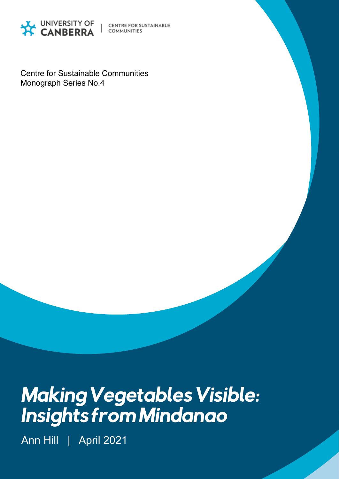

**CENTRE FOR SUSTAINABLE COMMUNITIES** 

Centre for Sustainable Communities Monograph Series No.4

# Making Vegetables Visible: Insights from Mindanao

Ann Hill | April 2021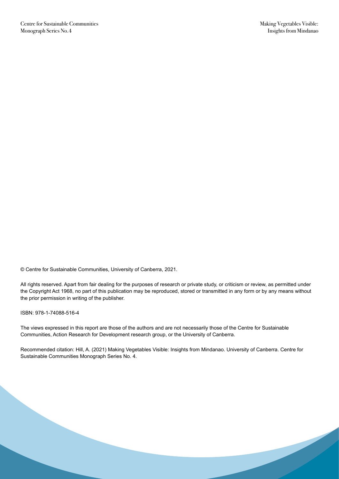© Centre for Sustainable Communities, University of Canberra, 2021.

All rights reserved. Apart from fair dealing for the purposes of research or private study, or criticism or review, as permitted under the Copyright Act 1968, no part of this publication may be reproduced, stored or transmitted in any form or by any means without the prior permission in writing of the publisher.

ISBN: 978-1-74088-516-4

The views expressed in this report are those of the authors and are not necessarily those of the Centre for Sustainable Communities, Action Research for Development research group, or the University of Canberra.

Recommended citation: Hill, A. (2021) Making Vegetables Visible: Insights from Mindanao. University of Canberra. Centre for Sustainable Communities Monograph Series No. 4.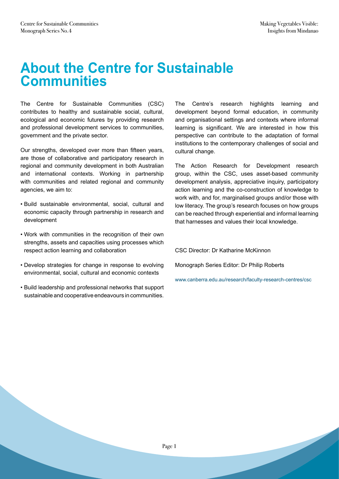### **About the Centre for Sustainable Communities**

The Centre for Sustainable Communities (CSC) contributes to healthy and sustainable social, cultural, ecological and economic futures by providing research and professional development services to communities, government and the private sector.

Our strengths, developed over more than fifteen years, are those of collaborative and participatory research in regional and community development in both Australian and international contexts. Working in partnership with communities and related regional and community agencies, we aim to:

- Build sustainable environmental, social, cultural and economic capacity through partnership in research and development
- Work with communities in the recognition of their own strengths, assets and capacities using processes which respect action learning and collaboration
- Develop strategies for change in response to evolving environmental, social, cultural and economic contexts
- Build leadership and professional networks that support sustainable and cooperative endeavours in communities.

The Centre's research highlights learning and development beyond formal education, in community and organisational settings and contexts where informal learning is significant. We are interested in how this perspective can contribute to the adaptation of formal institutions to the contemporary challenges of social and cultural change.

The Action Research for Development research group, within the CSC, uses asset-based community development analysis, appreciative inquiry, participatory action learning and the co-construction of knowledge to work with, and for, marginalised groups and/or those with low literacy. The group's research focuses on how groups can be reached through experiential and informal learning that harnesses and values their local knowledge.

CSC Director: Dr Katharine McKinnon

Monograph Series Editor: Dr Philip Roberts

www.canberra.edu.au/research/faculty-research-centres/csc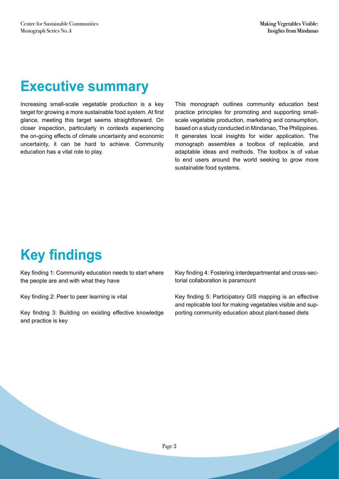# **Executive summary**

Increasing small-scale vegetable production is a key target for growing a more sustainable food system. At first glance, meeting this target seems straightforward. On closer inspection, particularly in contexts experiencing the on-going effects of climate uncertainty and economic uncertainty, it can be hard to achieve. Community education has a vital role to play.

This monograph outlines community education best practice principles for promoting and supporting smallscale vegetable production, marketing and consumption, based on a study conducted in Mindanao, The Philippines. It generates local insights for wider application. The monograph assembles a toolbox of replicable, and adaptable ideas and methods. The toolbox is of value to end users around the world seeking to grow more sustainable food systems.

# **Key findings**

Key finding 1: Community education needs to start where the people are and with what they have

Key finding 2: Peer to peer learning is vital

Key finding 3: Building on existing effective knowledge and practice is key

Key finding 4: Fostering interdepartmental and cross-sectorial collaboration is paramount

Key finding 5: Participatory GIS mapping is an effective and replicable tool for making vegetables visible and supporting community education about plant-based diets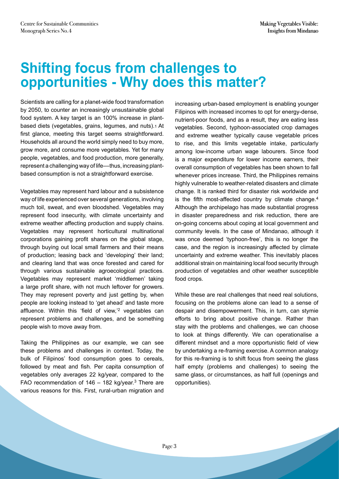# **Shifting focus from challenges to opportunities - Why does this matter?**

Scientists are calling for a planet-wide food transformation by 2050, to counter an increasingly unsustainable global food system. A key target is an 100% increase in plantbased diets (vegetables, grains, legumes, and nuts).1 At first glance, meeting this target seems straightforward. Households all around the world simply need to buy more, grow more, and consume more vegetables. Yet for many people, vegetables, and food production, more generally, represent a challenging way of life––thus, increasing plantbased consumption is not a straightforward exercise.

Vegetables may represent hard labour and a subsistence way of life experienced over several generations, involving much toil, sweat, and even bloodshed. Vegetables may represent food insecurity, with climate uncertainty and extreme weather affecting production and supply chains. Vegetables may represent horticultural multinational corporations gaining profit shares on the global stage, through buying out local small farmers and their means of production; leasing back and 'developing' their land; and clearing land that was once forested and cared for through various sustainable agroecological practices. Vegetables may represent market 'middlemen' taking a large profit share, with not much leftover for growers. They may represent poverty and just getting by, when people are looking instead to 'get ahead' and taste more affluence. Within this 'field of view,'<sup>2</sup> vegetables can represent problems and challenges, and be something people wish to move away from.

Taking the Philippines as our example, we can see these problems and challenges in context. Today, the bulk of Filipinos' food consumption goes to cereals, followed by meat and fish. Per capita consumption of vegetables only averages 22 kg/year, compared to the FAO recommendation of  $146 - 182$  kg/year.<sup>3</sup> There are various reasons for this. First, rural-urban migration and increasing urban-based employment is enabling younger Filipinos with increased incomes to opt for energy-dense, nutrient-poor foods, and as a result, they are eating less vegetables. Second, typhoon-associated crop damages and extreme weather typically cause vegetable prices to rise, and this limits vegetable intake, particularly among low-income urban wage labourers. Since food is a major expenditure for lower income earners, their overall consumption of vegetables has been shown to fall whenever prices increase. Third, the Philippines remains highly vulnerable to weather-related disasters and climate change. It is ranked third for disaster risk worldwide and is the fifth most-affected country by climate change. $4$ Although the archipelago has made substantial progress in disaster preparedness and risk reduction, there are on-going concerns about coping at local government and community levels. In the case of Mindanao, although it was once deemed 'typhoon-free', this is no longer the case, and the region is increasingly affected by climate uncertainty and extreme weather. This inevitably places additional strain on maintaining local food security through production of vegetables and other weather susceptible food crops.

While these are real challenges that need real solutions, focusing on the problems alone can lead to a sense of despair and disempowerment. This, in turn, can stymie efforts to bring about positive change. Rather than stay with the problems and challenges, we can choose to look at things differently. We can operationalise a different mindset and a more opportunistic field of view by undertaking a re-framing exercise. A common analogy for this re-framing is to shift focus from seeing the glass half empty (problems and challenges) to seeing the same glass, or circumstances, as half full (openings and opportunities).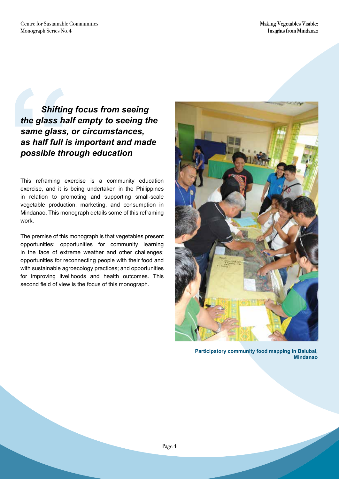**Shifting<br>the glass hall<br>same glass,<br>as half full is<br>possible thro<br>This reframing exercise, and it is l<br>in relation to prom<br>vegetable production**  *Shifting focus from seeing the glass half empty to seeing the same glass, or circumstances, as half full is important and made possible through education* 

This reframing exercise is a community education exercise, and it is being undertaken in the Philippines in relation to promoting and supporting small-scale vegetable production, marketing, and consumption in Mindanao. This monograph details some of this reframing work.

The premise of this monograph is that vegetables present opportunities: opportunities for community learning in the face of extreme weather and other challenges; opportunities for reconnecting people with their food and with sustainable agroecology practices; and opportunities for improving livelihoods and health outcomes. This second field of view is the focus of this monograph.



**Participatory community food mapping in Balubal, Mindanao**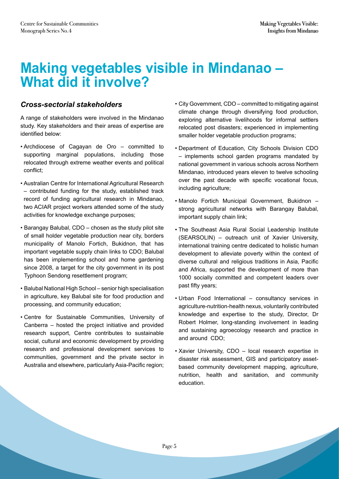## **Making vegetables visible in Mindanao – What did it involve?**

#### *Cross-sectorial stakeholders*

A range of stakeholders were involved in the Mindanao study. Key stakeholders and their areas of expertise are identified below:

- Archdiocese of Cagayan de Oro committed to supporting marginal populations, including those relocated through extreme weather events and political conflict;
- Australian Centre for International Agricultural Research – contributed funding for the study, established track record of funding agricultural research in Mindanao, two ACIAR project workers attended some of the study activities for knowledge exchange purposes;
- Barangay Balubal, CDO chosen as the study pilot site of small holder vegetable production near city, borders municipality of Manolo Fortich, Bukidnon, that has important vegetable supply chain links to CDO; Balubal has been implementing school and home gardening since 2008, a target for the city government in its post Typhoon Sendong resettlement program;
- Balubal National High School senior high specialisation in agriculture, key Balubal site for food production and processing, and community education;
- Centre for Sustainable Communities, University of Canberra – hosted the project initiative and provided research support, Centre contributes to sustainable social, cultural and economic development by providing research and professional development services to communities, government and the private sector in Australia and elsewhere, particularly Asia-Pacific region;
- City Government, CDO committed to mitigating against climate change through diversifying food production, exploring alternative livelihoods for informal settlers relocated post disasters; experienced in implementing smaller holder vegetable production programs;
- Department of Education, City Schools Division CDO – implements school garden programs mandated by national government in various schools across Northern Mindanao, introduced years eleven to twelve schooling over the past decade with specific vocational focus, including agriculture;
- Manolo Fortich Municipal Government, Bukidnon strong agricultural networks with Barangay Balubal, important supply chain link;
- The Southeast Asia Rural Social Leadership Institute (SEARSOLIN) – outreach unit of Xavier University, international training centre dedicated to holistic human development to alleviate poverty within the context of diverse cultural and religious traditions in Asia, Pacific and Africa, supported the development of more than 1000 socially committed and competent leaders over past fifty years;
- Urban Food International consultancy services in agriculture-nutrition-health nexus, voluntarily contributed knowledge and expertise to the study, Director, Dr Robert Holmer, long-standing involvement in leading and sustaining agroecology research and practice in and around CDO;
- Xavier University, CDO local research expertise in disaster risk assessment, GIS and participatory assetbased community development mapping, agriculture, nutrition, health and sanitation, and community education.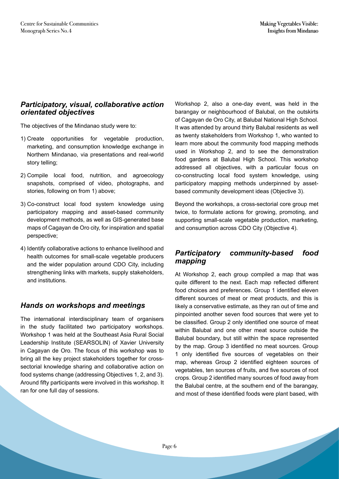#### *Participatory, visual, collaborative action orientated objectives*

The objectives of the Mindanao study were to:

- 1) Create opportunities for vegetable production, marketing, and consumption knowledge exchange in Northern Mindanao, via presentations and real-world story telling;
- 2) Compile local food, nutrition, and agroecology snapshots, comprised of video, photographs, and stories, following on from 1) above;
- 3) Co-construct local food system knowledge using participatory mapping and asset-based community development methods, as well as GIS-generated base maps of Cagayan de Oro city, for inspiration and spatial perspective;
- 4) Identify collaborative actions to enhance livelihood and health outcomes for small-scale vegetable producers and the wider population around CDO City, including strengthening links with markets, supply stakeholders, and institutions.

#### *Hands on workshops and meetings*

The international interdisciplinary team of organisers in the study facilitated two participatory workshops. Workshop 1 was held at the Southeast Asia Rural Social Leadership Institute (SEARSOLIN) of Xavier University in Cagayan de Oro. The focus of this workshop was to bring all the key project stakeholders together for crosssectorial knowledge sharing and collaborative action on food systems change (addressing Objectives 1, 2, and 3). Around fifty participants were involved in this workshop. It ran for one full day of sessions.

Workshop 2, also a one-day event, was held in the barangay or neighbourhood of Balubal, on the outskirts of Cagayan de Oro City, at Balubal National High School. It was attended by around thirty Balubal residents as well as twenty stakeholders from Workshop 1, who wanted to learn more about the community food mapping methods used in Workshop 2, and to see the demonstration food gardens at Balubal High School. This workshop addressed all objectives, with a particular focus on co-constructing local food system knowledge, using participatory mapping methods underpinned by assetbased community development ideas (Objective 3).

Beyond the workshops, a cross-sectorial core group met twice, to formulate actions for growing, promoting, and supporting small-scale vegetable production, marketing, and consumption across CDO City (Objective 4).

#### *Participatory community-based food mapping*

At Workshop 2, each group compiled a map that was quite different to the next. Each map reflected different food choices and preferences. Group 1 identified eleven different sources of meat or meat products, and this is likely a conservative estimate, as they ran out of time and pinpointed another seven food sources that were yet to be classified. Group 2 only identified one source of meat within Balubal and one other meat source outside the Balubal boundary, but still within the space represented by the map. Group 3 identified no meat sources. Group 1 only identified five sources of vegetables on their map, whereas Group 2 identified eighteen sources of vegetables, ten sources of fruits, and five sources of root crops. Group 2 identified many sources of food away from the Balubal centre, at the southern end of the barangay, and most of these identified foods were plant based, with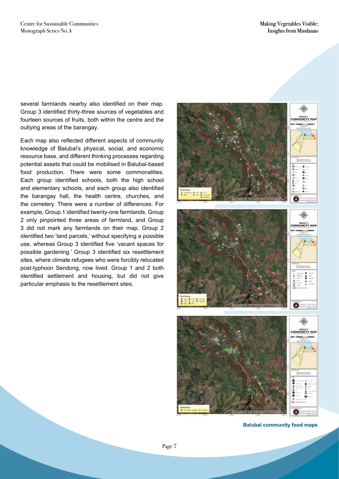several farmlands nearby also identified on their map. Group 3 identified thirty-three sources of vegetables and fourteen sources of fruits, both within the centre and the outlying areas of the barangay.

Each map also reflected different aspects of community knowledge of Balubal's physical, social, and economic resource base, and different thinking processes regarding potential assets that could be mobilised in Balubal-based food production. There were some commonalities. Each group identified schools, both the high school and elementary schools, and each group also identified the barangay hall, the health centre, churches, and the cemetery. There were a number of differences. For example, Group 1 identified twenty-one farmlands. Group 2 only pinpointed three areas of farmland, and Group 3 did not mark any farmlands on their map. Group 2 identified two 'land parcels,' without specifying a possible use, whereas Group 3 identified five 'vacant spaces for possible gardening.' Group 3 identified six resettlement sites, where climate refugees who were forcibly relocated post-typhoon Sendong, now lived. Group 1 and 2 both identified settlement and housing, but did not give particular emphasis to the resettlement sites.



**Balubal community food maps**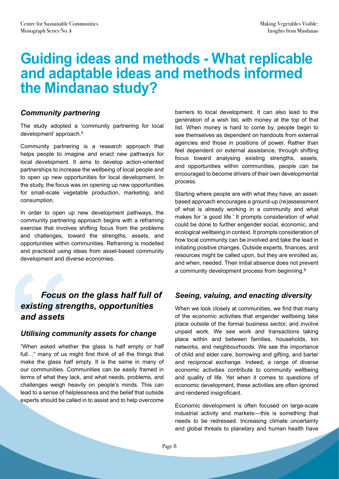# **Guiding ideas and methods - What replicable and adaptable ideas and methods informed the Mindanao study?**

#### *Community partnering*

The study adopted a 'community partnering for local development' approach.5

Community partnering is a research approach that helps people to imagine and enact new pathways for local development. It aims to develop action-oriented partnerships to increase the wellbeing of local people and to open up new opportunities for local development. In the study, the focus was on opening up new opportunities for small-scale vegetable production, marketing, and consumption.

In order to open up new development pathways, the community partnering approach begins with a reframing exercise that involves shifting focus from the problems and challenges, toward the strengths, assets, and opportunities within communities. Reframing is modelled and practiced using ideas from asset-based community development and diverse economies.

#### *Focus on the glass half full of existing strengths, opportunities and assets*

#### *Utilising community assets for change*

"When asked whether the glass is half empty or half full..." many of us might first think of all the things that make the glass half empty. It is the same in many of our communities. Communities can be easily framed in terms of what they lack, and what needs, problems, and challenges weigh heavily on people's minds. This can lead to a sense of helplessness and the belief that outside experts should be called in to assist and to help overcome **Focus devisions Focus**<br> **"**<br> **"When asked whetherengery**<br>
"When asked whetherengery<br>
"When asked whetherengery<br>
"When asked whetherengery<br>
"When asked whetherengery<br>
"Characterns of what they live challenges weigh helped

barriers to local development. It can also lead to the generation of a wish list, with money at the top of that list. When money is hard to come by, people begin to see themselves as dependent on handouts from external agencies and those in positions of power. Rather than feel dependent on external assistance, through shifting focus toward analysing existing strengths, assets, and opportunities within communities, people can be encouraged to become drivers of their own developmental process.

Starting where people are with what they have, an assetbased approach encourages a ground-up (re)assessment of what is already working in a community and what makes for 'a good life.' It prompts consideration of what could be done to further engender social, economic, and ecological wellbeing in context. It prompts consideration of how local community can be involved and take the lead in initiating positive changes. Outside experts, finances, and resources might be called upon, but they are enrolled as, and when, needed. Their initial absence does not prevent a community development process from beginning.6

#### *Seeing, valuing, and enacting diversity*

When we look closely at communities, we find that many of the economic activities that engender wellbeing take place outside of the formal business sector, and involve unpaid work. We see work and transactions taking place within and between families, households, kin networks, and neighbourhoods. We see the importance of child and elder care, borrowing and gifting, and barter and reciprocal exchange. Indeed, a range of diverse economic activities contribute to community wellbeing and quality of life. Yet when it comes to questions of economic development, these activities are often ignored and rendered insignificant.

Economic development is often focused on large-scale industrial activity and markets––this is something that needs to be redressed. Increasing climate uncertainty and global threats to planetary and human health have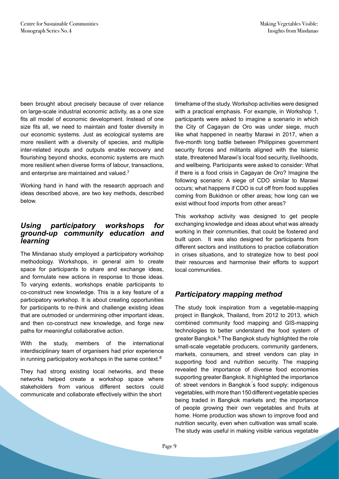been brought about precisely because of over reliance on large-scale industrial economic activity, as a one size fits all model of economic development. Instead of one size fits all, we need to maintain and foster diversity in our economic systems. Just as ecological systems are more resilient with a diversity of species, and multiple inter-related inputs and outputs enable recovery and flourishing beyond shocks, economic systems are much more resilient when diverse forms of labour, transactions, and enterprise are maintained and valued.7

Working hand in hand with the research approach and ideas described above, are two key methods, described below.

#### *Using participatory workshops for ground-up community education and learning*

The Mindanao study employed a participatory workshop methodology. Workshops, in general aim to create space for participants to share and exchange ideas, and formulate new actions in response to those ideas. To varying extents, workshops enable participants to co-construct new knowledge. This is a key feature of a participatory workshop. It is about creating opportunities for participants to re-think and challenge existing ideas that are outmoded or undermining other important ideas, and then co-construct new knowledge, and forge new paths for meaningful collaborative action.

With the study, members of the international interdisciplinary team of organisers had prior experience in running participatory workshops in the same context.8

They had strong existing local networks, and these networks helped create a workshop space where stakeholders from various different sectors could communicate and collaborate effectively within the short

timeframe of the study. Workshop activities were designed with a practical emphasis. For example, in Workshop 1, participants were asked to imagine a scenario in which the City of Cagayan de Oro was under siege, much like what happened in nearby Marawi in 2017, when a five-month long battle between Philippines government security forces and militants aligned with the Islamic state, threatened Marawi's local food security, livelihoods, and wellbeing. Participants were asked to consider: What if there is a food crisis in Cagayan de Oro? Imagine the following scenario: A siege of CDO similar to Marawi occurs; what happens if CDO is cut off from food supplies coming from Bukidnon or other areas; how long can we exist without food imports from other areas?

This workshop activity was designed to get people exchanging knowledge and ideas about what was already working in their communities, that could be fostered and built upon. It was also designed for participants from different sectors and institutions to practice collaboration in crises situations, and to strategize how to best pool their resources and harmonise their efforts to support local communities.

#### *Participatory mapping method*

The study took inspiration from a vegetable-mapping project in Bangkok, Thailand, from 2012 to 2013, which combined community food mapping and GIS-mapping technologies to better understand the food system of greater Bangkok.<sup>9</sup> The Bangkok study highlighted the role small-scale vegetable producers, community gardeners, markets, consumers, and street vendors can play in supporting food and nutrition security. The mapping revealed the importance of diverse food economies supporting greater Bangkok. It highlighted the importance of: street vendors in Bangkok ́s food supply; indigenous vegetables, with more than 150 different vegetable species being traded in Bangkok markets and; the importance of people growing their own vegetables and fruits at home. Home production was shown to improve food and nutrition security, even when cultivation was small scale. The study was useful in making visible various vegetable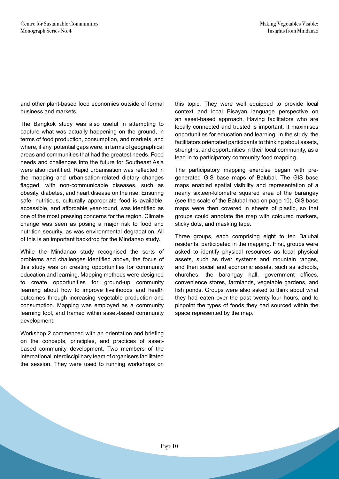and other plant-based food economies outside of formal business and markets.

The Bangkok study was also useful in attempting to capture what was actually happening on the ground, in terms of food production, consumption, and markets, and where, if any, potential gaps were, in terms of geographical areas and communities that had the greatest needs. Food needs and challenges into the future for Southeast Asia were also identified. Rapid urbanisation was reflected in the mapping and urbanisation-related dietary changes flagged, with non-communicable diseases, such as obesity, diabetes, and heart disease on the rise. Ensuring safe, nutritious, culturally appropriate food is available, accessible, and affordable year-round, was identified as one of the most pressing concerns for the region. Climate change was seen as posing a major risk to food and nutrition security, as was environmental degradation. All of this is an important backdrop for the Mindanao study.

While the Mindanao study recognised the sorts of problems and challenges identified above, the focus of this study was on creating opportunities for community education and learning. Mapping methods were designed to create opportunities for ground-up community learning about how to improve livelihoods and health outcomes through increasing vegetable production and consumption. Mapping was employed as a community learning tool, and framed within asset-based community development.

Workshop 2 commenced with an orientation and briefing on the concepts, principles, and practices of assetbased community development. Two members of the international interdisciplinary team of organisers facilitated the session. They were used to running workshops on

this topic. They were well equipped to provide local context and local Bisayan language perspective on an asset-based approach. Having facilitators who are locally connected and trusted is important. It maximises opportunities for education and learning. In the study, the facilitators orientated participants to thinking about assets, strengths, and opportunities in their local community, as a lead in to participatory community food mapping.

The participatory mapping exercise began with pregenerated GIS base maps of Balubal. The GIS base maps enabled spatial visibility and representation of a nearly sixteen-kilometre squared area of the barangay (see the scale of the Balubal map on page 10). GIS base maps were then covered in sheets of plastic, so that groups could annotate the map with coloured markers, sticky dots, and masking tape.

Three groups, each comprising eight to ten Balubal residents, participated in the mapping. First, groups were asked to identify physical resources as local physical assets, such as river systems and mountain ranges, and then social and economic assets, such as schools, churches, the barangay hall, government offices, convenience stores, farmlands, vegetable gardens, and fish ponds. Groups were also asked to think about what they had eaten over the past twenty-four hours, and to pinpoint the types of foods they had sourced within the space represented by the map.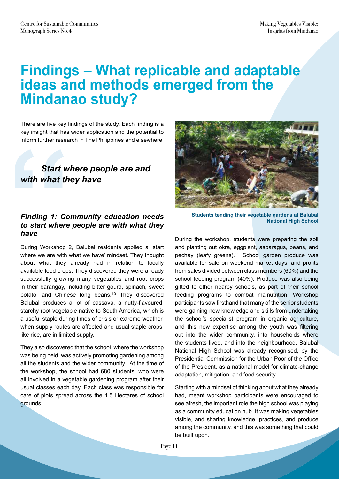# **Findings – What replicable and adaptable ideas and methods emerged from the Mindanao study?**

There are five key findings of the study. Each finding is a key insight that has wider application and the potential to inform further research in The Philippines and elsewhere.

#### *Start where people are and with what they have*

#### *Finding 1: Community education needs to start where people are with what they have*

During Workshop 2, Balubal residents applied a 'start where we are with what we have' mindset. They thought about what they already had in relation to locally available food crops. They discovered they were already successfully growing many vegetables and root crops in their barangay, including bitter gourd, spinach, sweet potato, and Chinese long beans.10 They discovered Balubal produces a lot of cassava, a nutty-flavoured, starchy root vegetable native to South America, which is a useful staple during times of crisis or extreme weather, when supply routes are affected and usual staple crops, like rice, are in limited supply. inform further resear<br> **Start will<br>
with what the<br>
Finding 1: Cor<br>
to start where<br>
have<br>
During Workshop 2<br>
where we are with w<br>
about what they a** 

They also discovered that the school, where the workshop was being held, was actively promoting gardening among all the students and the wider community. At the time of the workshop, the school had 680 students, who were all involved in a vegetable gardening program after their usual classes each day. Each class was responsible for care of plots spread across the 1.5 Hectares of school grounds.



**Students tending their vegetable gardens at Balubal National High School**

During the workshop, students were preparing the soil and planting out okra, eggplant, asparagus, beans, and pechay (leafy greens).<sup>11</sup> School garden produce was available for sale on weekend market days, and profits from sales divided between class members (60%) and the school feeding program (40%). Produce was also being gifted to other nearby schools, as part of their school feeding programs to combat malnutrition. Workshop participants saw firsthand that many of the senior students were gaining new knowledge and skills from undertaking the school's specialist program in organic agriculture, and this new expertise among the youth was filtering out into the wider community, into households where the students lived, and into the neighbourhood. Balubal National High School was already recognised, by the Presidential Commission for the Urban Poor of the Office of the President, as a national model for climate-change adaptation, mitigation, and food security.

Starting with a mindset of thinking about what they already had, meant workshop participants were encouraged to see afresh, the important role the high school was playing as a community education hub. It was making vegetables visible, and sharing knowledge, practices, and produce among the community, and this was something that could be built upon.

Page 11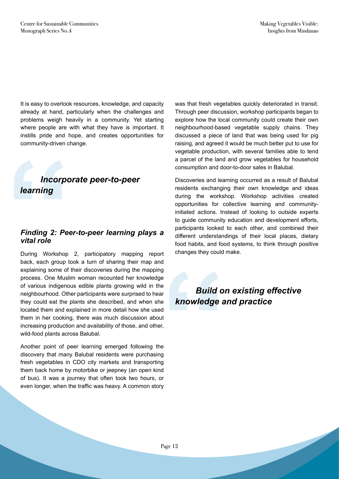It is easy to overlook resources, knowledge, and capacity already at hand, particularly when the challenges and problems weigh heavily in a community. Yet starting where people are with what they have is important. It instills pride and hope, and creates opportunities for community-driven change.

#### *Incorporate peer-to-peer learning*

#### *Finding 2: Peer-to-peer learning plays a vital role*

During Workshop 2, participatory mapping report back, each group took a turn of sharing their map and explaining some of their discoveries during the mapping process. One Muslim woman recounted her knowledge of various indigenous edible plants growing wild in the neighbourhood. Other participants were surprised to hear they could eat the plants she described, and when she located them and explained in more detail how she used them in her cooking, there was much discussion about increasing production and availability of those, and other, wild-food plants across Balubal. **Theorpo<br>
<b>"**<br> **"**<br> **Finding 2: Pee<br>
vital role<br>
During Workshop<br>
back, each group to<br>
explaining some of<br>
process. One Musli** 

Another point of peer learning emerged following the discovery that many Balubal residents were purchasing fresh vegetables in CDO city markets and transporting them back home by motorbike or jeepney (an open kind of bus). It was a journey that often took two hours, or even longer, when the traffic was heavy. A common story was that fresh vegetables quickly deteriorated in transit. Through peer discussion, workshop participants began to explore how the local community could create their own neighbourhood-based vegetable supply chains. They discussed a piece of land that was being used for pig raising, and agreed it would be much better put to use for vegetable production, with several families able to tend a parcel of the land and grow vegetables for household consumption and door-to-door sales in Balubal.

Discoveries and learning occurred as a result of Balubal residents exchanging their own knowledge and ideas during the workshop. Workshop activities created opportunities for collective learning and communityinitiated actions. Instead of looking to outside experts to guide community education and development efforts, participants looked to each other, and combined their different understandings of their local places, dietary food habits, and food systems, to think through positive changes they could make.

# **"**  *Build on existing effective knowledge and practice*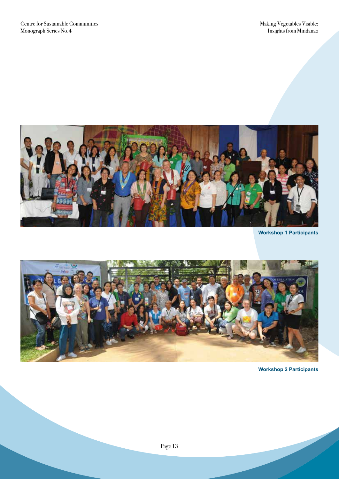

**Workshop 1 Participants**



**Workshop 2 Participants**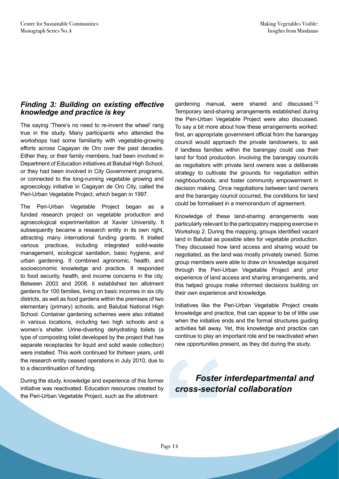#### *Finding 3: Building on existing effective knowledge and practice is key*

The saying 'There's no need to re-invent the wheel' rang true in the study. Many participants who attended the workshops had some familiarity with vegetable-growing efforts across Cagayan de Oro over the past decades. Either they, or their family members, had been involved in Department of Education initiatives at Balubal High School, or they had been involved in City Government programs, or connected to the long-running vegetable growing and agroecology initiative in Cagayan de Oro City, called the Peri-Urban Vegetable Project, which began in 1997.

The Peri-Urban Vegetable Project began as a funded research project on vegetable production and agroecological experimentation at Xavier University. It subsequently became a research entity in its own right, attracting many international funding grants. It trialled various practices, including integrated solid-waste management, ecological sanitation, basic hygiene, and urban gardening. It combined agronomic, health, and socioeconomic knowledge and practice. It responded to food security, health, and income concerns in the city. Between 2003 and 2008, it established ten allotment gardens for 100 families, living on basic incomes in six city districts, as well as food gardens within the premises of two elementary (primary) schools, and Balubal National High School. Container gardening schemes were also initiated in various locations, including two high schools and a women's shelter. Urine-diverting dehydrating toilets (a type of composting toilet developed by the project that has separate receptacles for liquid and solid waste collection) were installed. This work continued for thirteen years, until the research entity ceased operations in July 2010, due to to a discontinuation of funding.

During the study, knowledge and experience of this former initiative was reactivated. Education resources created by the Peri-Urban Vegetable Project, such as the allotment

gardening manual, were shared and discussed.12 Temporary land-sharing arrangements established during the Peri-Urban Vegetable Project were also discussed. To say a bit more about how these arrangements worked: first, an appropriate government official from the barangay council would approach the private landowners, to ask if landless families within the barangay could use their land for food production. Involving the barangay councils as negotiators with private land owners was a deliberate strategy to cultivate the grounds for negotiation within neighbourhoods, and foster community empowerment in decision making. Once negotiations between land owners and the barangay council occurred, the conditions for land could be formalised in a memorandum of agreement.

Knowledge of these land-sharing arrangements was particularly relevant to the participatory mapping exercise in Workshop 2. During the mapping, groups identified vacant land in Balubal as possible sites for vegetable production. They discussed how land access and sharing would be negotiated, as the land was mostly privately owned. Some group members were able to draw on knowledge acquired through the Peri-Urban Vegetable Project and prior experience of land access and sharing arrangements, and this helped groups make informed decisions building on their own experience and knowledge.

Initiatives like the Peri-Urban Vegetable Project create knowledge and practice, that can appear to be of little use when the initiative ends and the formal structures guiding activities fall away. Yet, this knowledge and practice can continue to play an important role and be reactivated when new opportunities present, as they did during the study.

Foster i<br>
<sup>e</sup><br>
Page 14<br>
Page 14  *Foster interdepartmental and cross-sectorial collaboration*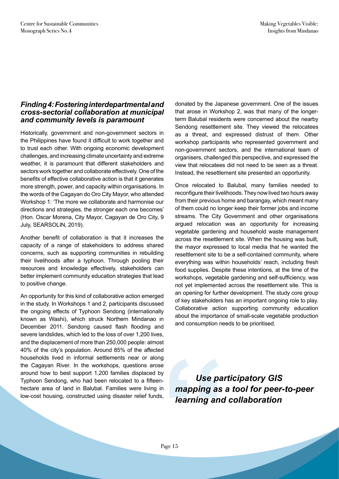#### *Finding 4: Fostering interdepartmental and cross-sectorial collaboration at municipal and community levels is paramount*

Historically, government and non-government sectors in the Philippines have found it difficult to work together and to trust each other. With ongoing economic development challenges, and increasing climate uncertainty and extreme weather, it is paramount that different stakeholders and sectors work together and collaborate effectively. One of the benefits of effective collaborative action is that it generates more strength, power, and capacity within organisations. In the words of the Cagayan do Oro City Mayor, who attended Workshop 1: 'The more we collaborate and harmonise our directions and strategies, the stronger each one becomes' (Hon. Oscar Morena, City Mayor, Cagayan de Oro City, 9 July, SEARSOLIN, 2019).

Another benefit of collaboration is that it increases the capacity of a range of stakeholders to address shared concerns, such as supporting communities in rebuilding their livelihoods after a typhoon. Through pooling their resources and knowledge effectively, stakeholders can better implement community education strategies that lead to positive change.

An opportunity for this kind of collaborative action emerged in the study. In Workshops 1 and 2, participants discussed the ongoing effects of Typhoon Sendong (internationally known as Washi), which struck Northern Mindanao in December 2011. Sendong caused flash flooding and severe landslides, which led to the loss of over 1,200 lives, and the displacement of more than 250,000 people: almost 40% of the city's population. Around 85% of the affected households lived in informal settlements near or along the Cagayan River. In the workshops, questions arose around how to best support 1,200 families displaced by Typhoon Sendong, who had been relocated to a fifteenhectare area of land in Balubal. Families were living in low-cost housing, constructed using disaster relief funds,

donated by the Japanese government. One of the issues that arose in Workshop 2, was that many of the longerterm Balubal residents were concerned about the nearby Sendong resettlement site. They viewed the relocatees as a threat, and expressed distrust of them. Other workshop participants who represented government and non-government sectors, and the international team of organisers, challenged this perspective, and expressed the view that relocatees did not need to be seen as a threat. Instead, the resettlement site presented an opportunity.

Once relocated to Balubal, many families needed to reconfigure their livelihoods. They now lived two hours away from their previous home and barangay, which meant many of them could no longer keep their former jobs and income streams. The City Government and other organisations argued relocation was an opportunity for increasing vegetable gardening and household waste management across the resettlement site. When the housing was built, the mayor expressed to local media that he wanted the resettlement site to be a self-contained community, where everything was within households' reach, including fresh food supplies. Despite these intentions, at the time of the workshops, vegetable gardening and self-sufficiency, was not yet implemented across the resettlement site. This is an opening for further development. The study core group of key stakeholders has an important ongoing role to play. Collaborative action supporting community education about the importance of small-scale vegetable production and consumption needs to be prioritised.

<sup>d</sup><br>
<sup>9</sup><br>
<sup>n</sup><br> *mapping as*<br> *learning and***<br>
P<sub>age 15</sub>**  *Use participatory GIS mapping as a tool for peer-to-peer learning and collaboration*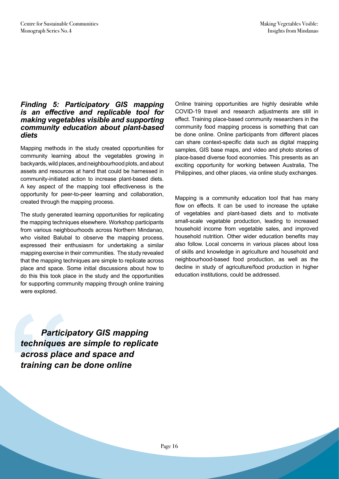#### *Finding 5: Participatory GIS mapping is an effective and replicable tool for making vegetables visible and supporting community education about plant-based diets*

Mapping methods in the study created opportunities for community learning about the vegetables growing in backyards, wild places, and neighbourhood plots, and about assets and resources at hand that could be harnessed in community-initiated action to increase plant-based diets. A key aspect of the mapping tool effectiveness is the opportunity for peer-to-peer learning and collaboration, created through the mapping process.

The study generated learning opportunities for replicating the mapping techniques elsewhere. Workshop participants from various neighbourhoods across Northern Mindanao, who visited Balubal to observe the mapping process, expressed their enthusiasm for undertaking a similar mapping exercise in their communities. The study revealed that the mapping techniques are simple to replicate across place and space. Some initial discussions about how to do this this took place in the study and the opportunities for supporting community mapping through online training were explored.

Online training opportunities are highly desirable while COVID-19 travel and research adjustments are still in effect. Training place-based community researchers in the community food mapping process is something that can be done online. Online participants from different places can share context-specific data such as digital mapping samples, GIS base maps, and video and photo stories of place-based diverse food economies. This presents as an exciting opportunity for working between Australia, The Philippines, and other places, via online study exchanges.

Mapping is a community education tool that has many flow on effects. It can be used to increase the uptake of vegetables and plant-based diets and to motivate small-scale vegetable production, leading to increased household income from vegetable sales, and improved household nutrition. Other wider education benefits may also follow. Local concerns in various places about loss of skills and knowledge in agriculture and household and neighbourhood-based food production, as well as the decline in study of agriculture/food production in higher education institutions, could be addressed.

**Particip**<br>techniques a<br>across place<br>training can  *Participatory GIS mapping techniques are simple to replicate across place and space and training can be done online*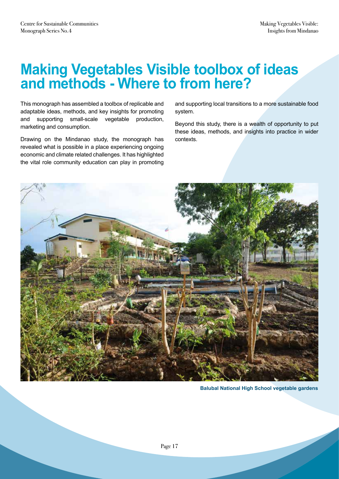# **Making Vegetables Visible toolbox of ideas and methods - Where to from here?**

This monograph has assembled a toolbox of replicable and adaptable ideas, methods, and key insights for promoting and supporting small-scale vegetable production, marketing and consumption.

Drawing on the Mindanao study, the monograph has revealed what is possible in a place experiencing ongoing economic and climate related challenges. It has highlighted the vital role community education can play in promoting

and supporting local transitions to a more sustainable food system.

Beyond this study, there is a wealth of opportunity to put these ideas, methods, and insights into practice in wider contexts.



**Balubal National High School vegetable gardens**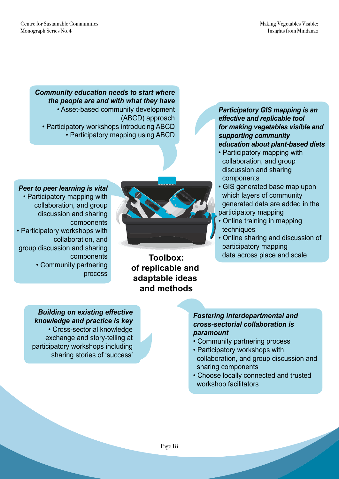*Community education needs to start where the people are and with what they have*  • Asset-based community development (ABCD) approach • Participatory workshops introducing ABCD • Participatory mapping using ABCD



#### *Peer to peer learning is vital*

• Participatory mapping with collaboration, and group discussion and sharing components • Participatory workshops with collaboration, and group discussion and sharing components • Community partnering

**Toolbox: of replicable and adaptable ideas and methods**

*Participatory GIS mapping is an effective and replicable tool for making vegetables visible and supporting community education about plant-based diets*

- Participatory mapping with collaboration, and group discussion and sharing components
- GIS generated base map upon which layers of community generated data are added in the participatory mapping
- Online training in mapping techniques
- Online sharing and discussion of participatory mapping data across place and scale

*Building on existing effective knowledge and practice is key*  • Cross-sectorial knowledge exchange and story-telling at participatory workshops including sharing stories of 'success'

process

#### *Fostering interdepartmental and cross-sectorial collaboration is paramount*

- Community partnering process
- Participatory workshops with collaboration, and group discussion and sharing components
- Choose locally connected and trusted workshop facilitators